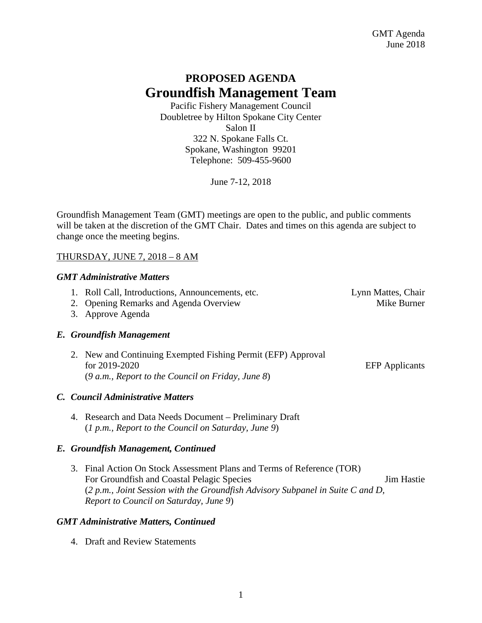# **PROPOSED AGENDA Groundfish Management Team**

Pacific Fishery Management Council Doubletree by Hilton Spokane City Center Salon II 322 N. Spokane Falls Ct. Spokane, Washington 99201 Telephone: 509-455-9600

June 7-12, 2018

Groundfish Management Team (GMT) meetings are open to the public, and public comments will be taken at the discretion of the GMT Chair. Dates and times on this agenda are subject to change once the meeting begins.

# THURSDAY, JUNE 7, 2018 – 8 AM

# *GMT Administrative Matters*

- 1. Roll Call, Introductions, Announcements, etc. Lynn Mattes, Chair
- 2. Opening Remarks and Agenda Overview Mike Burner
- 3. Approve Agenda

# *E. Groundfish Management*

2. New and Continuing Exempted Fishing Permit (EFP) Approval for 2019-2020 EFP Applicants (*9 a.m., Report to the Council on Friday, June 8*)

# *C. Council Administrative Matters*

4. Research and Data Needs Document – Preliminary Draft (*1 p.m., Report to the Council on Saturday, June 9*)

# *E. Groundfish Management, Continued*

3. Final Action On Stock Assessment Plans and Terms of Reference (TOR) For Groundfish and Coastal Pelagic Species **For Groundfish and Coastal Pelagic Species** Jim Hastie (*2 p.m., Joint Session with the Groundfish Advisory Subpanel in Suite C and D, Report to Council on Saturday, June 9*)

# *GMT Administrative Matters, Continued*

4. Draft and Review Statements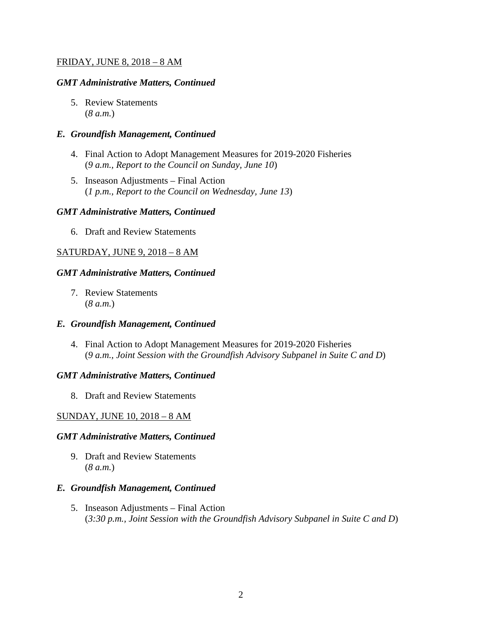#### FRIDAY, JUNE 8, 2018 – 8 AM

#### *GMT Administrative Matters, Continued*

5. Review Statements (*8 a.m.*)

#### *E. Groundfish Management, Continued*

- 4. Final Action to Adopt Management Measures for 2019-2020 Fisheries (*9 a.m., Report to the Council on Sunday, June 10*)
- 5. Inseason Adjustments Final Action (*1 p.m., Report to the Council on Wednesday, June 13*)

#### *GMT Administrative Matters, Continued*

6. Draft and Review Statements

# SATURDAY, JUNE 9, 2018 – 8 AM

### *GMT Administrative Matters, Continued*

7. Review Statements (*8 a.m.*)

#### *E. Groundfish Management, Continued*

4. Final Action to Adopt Management Measures for 2019-2020 Fisheries (*9 a.m., Joint Session with the Groundfish Advisory Subpanel in Suite C and D*)

#### *GMT Administrative Matters, Continued*

8. Draft and Review Statements

# SUNDAY, JUNE 10, 2018 – 8 AM

#### *GMT Administrative Matters, Continued*

9. Draft and Review Statements (*8 a.m.*)

#### *E. Groundfish Management, Continued*

5. Inseason Adjustments – Final Action (*3:30 p.m., Joint Session with the Groundfish Advisory Subpanel in Suite C and D*)